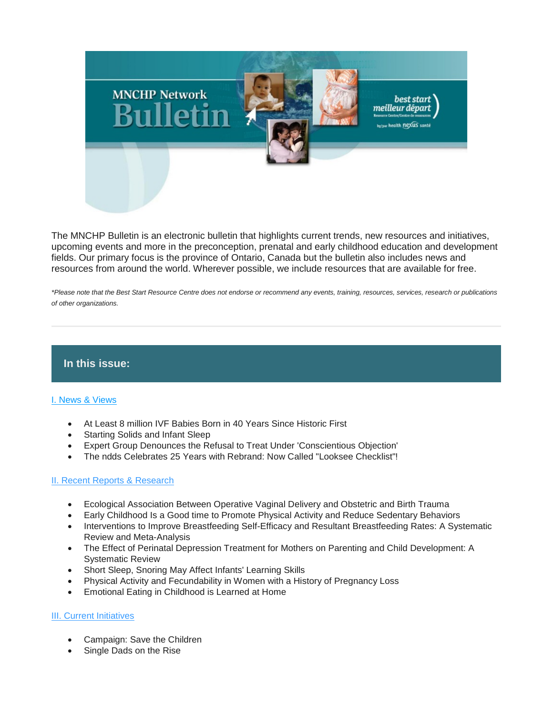

The MNCHP Bulletin is an electronic bulletin that highlights current trends, new resources and initiatives, upcoming events and more in the preconception, prenatal and early childhood education and development fields. Our primary focus is the province of Ontario, Canada but the bulletin also includes news and resources from around the world. Wherever possible, we include resources that are available for free.

*\*Please note that the Best Start Resource Centre does not endorse or recommend any events, training, resources, services, research or publications of other organizations.*

## **In this issue:**

## [I. News & Views](file://SV005/HN_DATA/PROJECT_DATA/BEST_START/Communications/MNCHP_HBHC_BSASC_RSMI_Networks/Bulletins/2018-2019/MNCHPbulletin_%20July%202018.html#I.%20News%20&%20Views)

- At Least 8 million IVF Babies Born in 40 Years Since Historic First
- Starting Solids and Infant Sleep
- Expert Group Denounces the Refusal to Treat Under 'Conscientious Objection'
- The ndds Celebrates 25 Years with Rebrand: Now Called "Looksee Checklist"!

## [II. Recent Reports & Research](file://SV005/HN_DATA/PROJECT_DATA/BEST_START/Communications/MNCHP_HBHC_BSASC_RSMI_Networks/Bulletins/2018-2019/MNCHPbulletin_%20July%202018.html#II.%20Recent%20Reports%20&%20Research)

- Ecological Association Between Operative Vaginal Delivery and Obstetric and Birth Trauma
- Early Childhood Is a Good time to Promote Physical Activity and Reduce Sedentary Behaviors
- Interventions to Improve Breastfeeding Self-Efficacy and Resultant Breastfeeding Rates: A Systematic Review and Meta-Analysis
- The Effect of Perinatal Depression Treatment for Mothers on Parenting and Child Development: A Systematic Review
- Short Sleep, Snoring May Affect Infants' Learning Skills
- Physical Activity and Fecundability in Women with a History of Pregnancy Loss
- Emotional Eating in Childhood is Learned at Home

## **[III. Current Initiatives](file://SV005/HN_DATA/PROJECT_DATA/BEST_START/Communications/MNCHP_HBHC_BSASC_RSMI_Networks/Bulletins/2018-2019/MNCHPbulletin_%20July%202018.html#III.%20Current%20Initiatives)**

- Campaign: Save the Children
- Single Dads on the Rise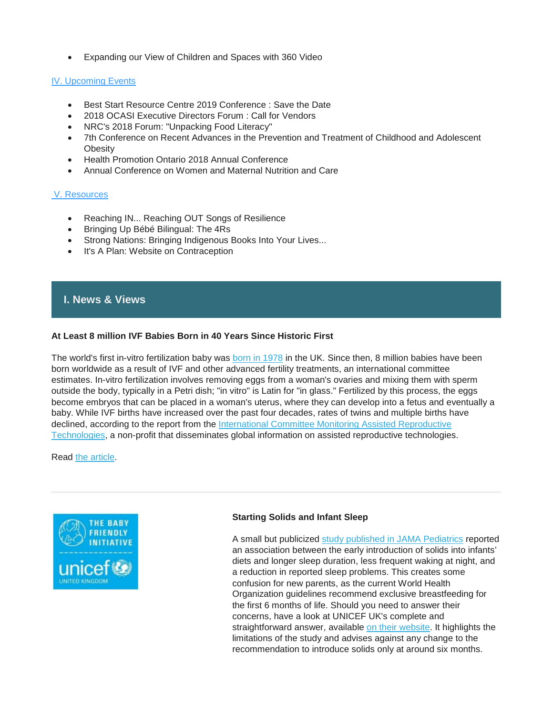• Expanding our View of Children and Spaces with 360 Video

## [IV. Upcoming Events](file://SV005/HN_DATA/PROJECT_DATA/BEST_START/Communications/MNCHP_HBHC_BSASC_RSMI_Networks/Bulletins/2018-2019/MNCHPbulletin_%20July%202018.html#IV.%20Upcoming%20Events)

- Best Start Resource Centre 2019 Conference : Save the Date
- 2018 OCASI Executive Directors Forum : Call for Vendors
- NRC's 2018 Forum: "Unpacking Food Literacy"
- 7th Conference on Recent Advances in the Prevention and Treatment of Childhood and Adolescent **Obesity**
- Health Promotion Ontario 2018 Annual Conference
- Annual Conference on Women and Maternal Nutrition and Care

#### [V. Resources](file://SV005/HN_DATA/PROJECT_DATA/BEST_START/Communications/MNCHP_HBHC_BSASC_RSMI_Networks/Bulletins/2018-2019/MNCHPbulletin_%20July%202018.html#V.%20Resources)

- Reaching IN... Reaching OUT Songs of Resilience
- Bringing Up Bébé Bilingual: The 4Rs
- Strong Nations: Bringing Indigenous Books Into Your Lives...
- It's A Plan: Website on Contraception

## **I. News & Views**

#### **At Least 8 million IVF Babies Born in 40 Years Since Historic First**

The world's first in-vitro fertilization baby was [born in 1978](http://www.cnn.com/2003/HEALTH/parenting/07/25/ivf.anniversary/) in the UK. Since then, 8 million babies have been born worldwide as a result of IVF and other advanced fertility treatments, an international committee estimates. In-vitro fertilization involves removing eggs from a woman's ovaries and mixing them with sperm outside the body, typically in a Petri dish; "in vitro" is Latin for "in glass." Fertilized by this process, the eggs become embryos that can be placed in a woman's uterus, where they can develop into a fetus and eventually a baby. While IVF births have increased over the past four decades, rates of twins and multiple births have declined, according to the report from the International Committee Monitoring Assisted Reproductive [Technologies,](http://www.icmartivf.org/) a non-profit that disseminates global information on assisted reproductive technologies.

Read [the article.](https://edition.cnn.com/2018/07/03/health/worldwide-ivf-babies-born-study/index.html)



## **Starting Solids and Infant Sleep**

A small but publicized [study published in JAMA Pediatrics](https://www.bbc.com/news/health-44723638) reported an association between the early introduction of solids into infants' diets and longer sleep duration, less frequent waking at night, and a reduction in reported sleep problems. This creates some confusion for new parents, as the current World Health Organization guidelines recommend exclusive breastfeeding for the first 6 months of life. Should you need to answer their concerns, have a look at UNICEF UK's complete and straightforward answer, available [on their website.](https://www.unicef.org.uk/babyfriendly/about/statements/?sisearchengine=1022&utm_source=uukloyalty&utm_medium=email&utm_campaign=bf_newsjul18) It highlights the limitations of the study and advises against any change to the recommendation to introduce solids only at around six months.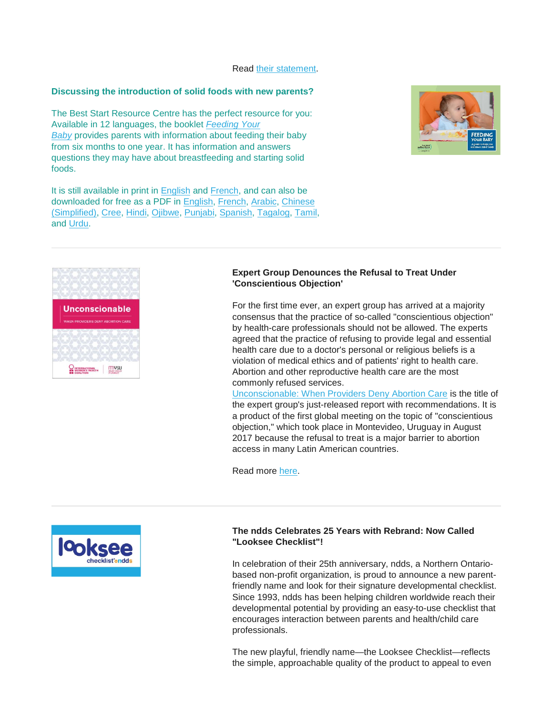Read [their statement.](https://www.unicef.org.uk/babyfriendly/wp-content/uploads/sites/2/2018/07/Statement-on-starting-solids-and-infant-sleep-study-Unicef-UK-Baby-Friendly-Initiative.pdf)

#### **Discussing the introduction of solid foods with new parents?**

The Best Start Resource Centre has the perfect resource for you: Available in 12 languages, the booklet *[Feeding Your](https://www.beststart.org/cgi-bin/commerce.cgi?preadd=action&key=D12-E)  [Baby](https://www.beststart.org/cgi-bin/commerce.cgi?preadd=action&key=D12-E)* provides parents with information about feeding their baby from six months to one year. It has information and answers questions they may have about breastfeeding and starting solid foods.

It is still available in print in [English](https://www.beststart.org/cgi-bin/commerce.cgi?preadd=action&key=D12-E) and [French,](https://www.beststart.org/cgi-bin/commerce.cgi?preadd=action&key=D12-F) and can also be downloaded for free as a PDF in [English,](https://www.beststart.org/resources/nutrition/feedingyourbaby/D12-E-FeedingYourBaby.pdf) [French,](http://www.meilleurdepart.org/resources/nutrition/pdf/CRMD_NourrirVotreBebe_2015.pdf) [Arabic,](http://www.beststart.org/resources/nutrition/feedingyourbaby/D12-AR_feeding_baby_Arabic_2016.pdf) [Chinese](http://www.beststart.org/resources/nutrition/feedingyourbaby/D12-ZH_feeding_baby_Chinese_2016.pdf) [\(Simplified\),](http://www.beststart.org/resources/nutrition/feedingyourbaby/D12-ZH_feeding_baby_Chinese_2016.pdf) [Cree,](http://www.beststart.org/resources/nutrition/feedingyourbaby/D12_CR_feeding_baby_Cree_2017.pdf) [Hindi,](http://www.beststart.org/resources/nutrition/feedingyourbaby/D12-HI_feeding_baby_Hindi_2016.pdf) [Ojibwe,](http://www.beststart.org/resources/nutrition/feedingyourbaby/D12-OJ_feedingbaby_Ojibwe.pdf) [Punjabi,](http://www.beststart.org/resources/nutrition/feedingyourbaby/D12-PU_feeding_baby_Punjabi_2016.pdf) [Spanish,](http://www.beststart.org/resources/nutrition/feedingyourbaby/D12-SP_feeding_baby_Spanish_2016.pdf) [Tagalog,](http://www.beststart.org/resources/nutrition/feedingyourbaby/D12-TG_feeding_baby_Tagalog_2016.pdf) [Tamil,](http://www.beststart.org/resources/nutrition/feedingyourbaby/D12-TA_feeding_baby_Tamil_2016.pdf) and [Urdu.](http://www.beststart.org/resources/nutrition/feedingyourbaby/D12-UR_feeding_baby_Urdu_2016.pdf)





## **Expert Group Denounces the Refusal to Treat Under 'Conscientious Objection'**

For the first time ever, an expert group has arrived at a majority consensus that the practice of so-called "conscientious objection" by health-care professionals should not be allowed. The experts agreed that the practice of refusing to provide legal and essential health care due to a doctor's personal or religious beliefs is a violation of medical ethics and of patients' right to health care. Abortion and other reproductive health care are the most commonly refused services.

[Unconscionable: When Providers Deny Abortion Care](https://iwhc.org/resources/unconscionable-when-providers-deny-abortion-care/) is the title of the expert group's just-released report with recommendations. It is a product of the first global meeting on the topic of "conscientious objection," which took place in Montevideo, Uruguay in August 2017 because the refusal to treat is a major barrier to abortion access in many Latin American countries.

Read more [here.](http://rabble.ca/columnists/2018/07/expert-group-denounces-refusal-treat-under-conscientious-objection)



#### **The ndds Celebrates 25 Years with Rebrand: Now Called "Looksee Checklist"!**

In celebration of their 25th anniversary, ndds, a Northern Ontariobased non-profit organization, is proud to announce a new parentfriendly name and look for their signature developmental checklist. Since 1993, ndds has been helping children worldwide reach their developmental potential by providing an easy-to-use checklist that encourages interaction between parents and health/child care professionals.

The new playful, friendly name—the Looksee Checklist—reflects the simple, approachable quality of the product to appeal to even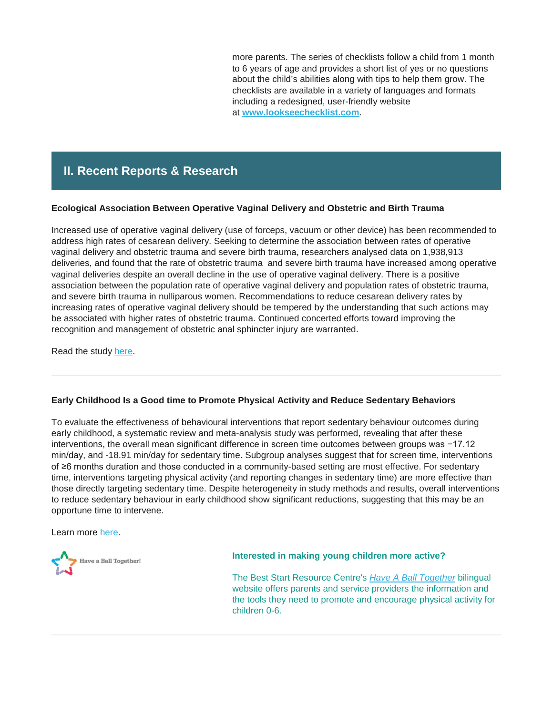more parents. The series of checklists follow a child from 1 month to 6 years of age and provides a short list of yes or no questions about the child's abilities along with tips to help them grow. The checklists are available in a variety of languages and formats including a redesigned, user-friendly website at **[www.lookseechecklist.com](https://ndds.us2.list-manage.com/track/click?u=bd69219c7afd02b79d5bae92d&id=374f5d609c&e=fd89ba4c56)**.

# **II. Recent Reports & Research**

#### **Ecological Association Between Operative Vaginal Delivery and Obstetric and Birth Trauma**

Increased use of operative vaginal delivery (use of forceps, vacuum or other device) has been recommended to address high rates of cesarean delivery. Seeking to determine the association between rates of operative vaginal delivery and obstetric trauma and severe birth trauma, researchers analysed data on 1,938,913 deliveries, and found that the rate of obstetric trauma and severe birth trauma have increased among operative vaginal deliveries despite an overall decline in the use of operative vaginal delivery. There is a positive association between the population rate of operative vaginal delivery and population rates of obstetric trauma, and severe birth trauma in nulliparous women. Recommendations to reduce cesarean delivery rates by increasing rates of operative vaginal delivery should be tempered by the understanding that such actions may be associated with higher rates of obstetric trauma. Continued concerted efforts toward improving the recognition and management of obstetric anal sphincter injury are warranted.

Read the study [here.](http://www.cmaj.ca/content/190/24/E734)

## **Early Childhood Is a Good time to Promote Physical Activity and Reduce Sedentary Behaviors**

To evaluate the effectiveness of behavioural interventions that report sedentary behaviour outcomes during early childhood, a systematic review and meta-analysis study was performed, revealing that after these interventions, the overall mean significant difference in screen time outcomes between groups was −17.12 min/day, and -18.91 min/day for sedentary time. Subgroup analyses suggest that for screen time, interventions of ≥6 months duration and those conducted in a community-based setting are most effective. For sedentary time, interventions targeting physical activity (and reporting changes in sedentary time) are more effective than those directly targeting sedentary time. Despite heterogeneity in study methods and results, overall interventions to reduce sedentary behaviour in early childhood show significant reductions, suggesting that this may be an opportune time to intervene.

Learn more [here.](https://www.ncbi.nlm.nih.gov/pmc/articles/PMC5867408/)



#### **Interested in making young children more active?**

The Best Start Resource Centre's *[Have A Ball Together](https://haveaballtogether.ca/)* bilingual website offers parents and service providers the information and the tools they need to promote and encourage physical activity for children 0-6.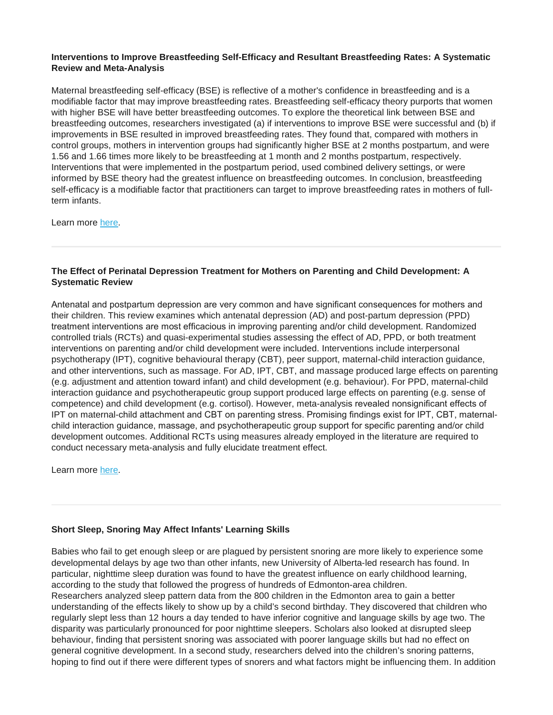#### **Interventions to Improve Breastfeeding Self-Efficacy and Resultant Breastfeeding Rates: A Systematic Review and Meta-Analysis**

Maternal breastfeeding self-efficacy (BSE) is reflective of a mother's confidence in breastfeeding and is a modifiable factor that may improve breastfeeding rates. Breastfeeding self-efficacy theory purports that women with higher BSE will have better breastfeeding outcomes. To explore the theoretical link between BSE and breastfeeding outcomes, researchers investigated (a) if interventions to improve BSE were successful and (b) if improvements in BSE resulted in improved breastfeeding rates. They found that, compared with mothers in control groups, mothers in intervention groups had significantly higher BSE at 2 months postpartum, and were 1.56 and 1.66 times more likely to be breastfeeding at 1 month and 2 months postpartum, respectively. Interventions that were implemented in the postpartum period, used combined delivery settings, or were informed by BSE theory had the greatest influence on breastfeeding outcomes. In conclusion, breastfeeding self-efficacy is a modifiable factor that practitioners can target to improve breastfeeding rates in mothers of fullterm infants.

Learn more [here.](https://www.ncbi.nlm.nih.gov/pubmed/28644764?dopt=Abstract)

## **The Effect of Perinatal Depression Treatment for Mothers on Parenting and Child Development: A Systematic Review**

Antenatal and postpartum depression are very common and have significant consequences for mothers and their children. This review examines which antenatal depression (AD) and post-partum depression (PPD) treatment interventions are most efficacious in improving parenting and/or child development. Randomized controlled trials (RCTs) and quasi-experimental studies assessing the effect of AD, PPD, or both treatment interventions on parenting and/or child development were included. Interventions include interpersonal psychotherapy (IPT), cognitive behavioural therapy (CBT), peer support, maternal-child interaction guidance, and other interventions, such as massage. For AD, IPT, CBT, and massage produced large effects on parenting (e.g. adjustment and attention toward infant) and child development (e.g. behaviour). For PPD, maternal-child interaction guidance and psychotherapeutic group support produced large effects on parenting (e.g. sense of competence) and child development (e.g. cortisol). However, meta-analysis revealed nonsignificant effects of IPT on maternal-child attachment and CBT on parenting stress. Promising findings exist for IPT, CBT, maternalchild interaction guidance, massage, and psychotherapeutic group support for specific parenting and/or child development outcomes. Additional RCTs using measures already employed in the literature are required to conduct necessary meta-analysis and fully elucidate treatment effect.

Learn more [here.](https://www.ncbi.nlm.nih.gov/pubmed/28962068?dopt=Abstract)

## **Short Sleep, Snoring May Affect Infants' Learning Skills**

Babies who fail to get enough sleep or are plagued by persistent snoring are more likely to experience some developmental delays by age two than other infants, new University of Alberta-led research has found. In particular, nighttime sleep duration was found to have the greatest influence on early childhood learning, according to the study that followed the progress of hundreds of Edmonton-area children. Researchers analyzed sleep pattern data from the 800 children in the Edmonton area to gain a better understanding of the effects likely to show up by a child's second birthday. They discovered that children who regularly slept less than 12 hours a day tended to have inferior cognitive and language skills by age two. The disparity was particularly pronounced for poor nighttime sleepers. Scholars also looked at disrupted sleep behaviour, finding that persistent snoring was associated with poorer language skills but had no effect on general cognitive development. In a second study, researchers delved into the children's snoring patterns, hoping to find out if there were different types of snorers and what factors might be influencing them. In addition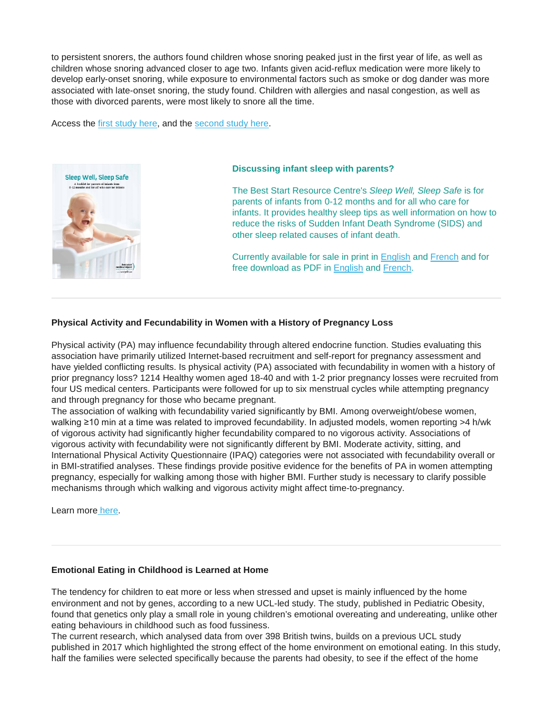to persistent snorers, the authors found children whose snoring peaked just in the first year of life, as well as children whose snoring advanced closer to age two. Infants given acid-reflux medication were more likely to develop early-onset snoring, while exposure to environmental factors such as smoke or dog dander was more associated with late-onset snoring, the study found. Children with allergies and nasal congestion, as well as those with divorced parents, were most likely to snore all the time.

Access the [first study here,](http://childstudy.ca/wp-content/uploads/2018/06/Shorter-sleep-duration.pdf) and the [second study here.](http://childstudy.ca/wp-content/uploads/2018/06/Phenotypes-of-sleep-disordered-breathing-symptoms.pdf)



#### **Discussing infant sleep with parents?**

The Best Start Resource Centre's *Sleep Well, Sleep Safe* is for parents of infants from 0-12 months and for all who care for infants. It provides healthy sleep tips as well information on how to reduce the risks of Sudden Infant Death Syndrome (SIDS) and other sleep related causes of infant death.

Currently available for sale in print in [English](https://www.beststart.org/cgi-bin/commerce.cgi?preadd=action&key=K49-E) and [French](https://www.beststart.org/cgi-bin/commerce.cgi?preadd=action&key=K49-F) and for free download as PDF in [English](http://www.beststart.org/resources/hlthy_chld_dev/pdf/BSRC_Sleep_Well_resource_FNL_LR.pdf) and [French.](http://www.meilleurdepart.org/resources/develop_enfants/pdf/BSRC_Sleep_Well_resource_FR_LR.pdf)

#### **Physical Activity and Fecundability in Women with a History of Pregnancy Loss**

Physical activity (PA) may influence fecundability through altered endocrine function. Studies evaluating this association have primarily utilized Internet-based recruitment and self-report for pregnancy assessment and have yielded conflicting results. Is physical activity (PA) associated with fecundability in women with a history of prior pregnancy loss? 1214 Healthy women aged 18-40 and with 1-2 prior pregnancy losses were recruited from four US medical centers. Participants were followed for up to six menstrual cycles while attempting pregnancy and through pregnancy for those who became pregnant.

The association of walking with fecundability varied significantly by BMI. Among overweight/obese women, walking ≥10 min at a time was related to improved fecundability. In adjusted models, women reporting >4 h/wk of vigorous activity had significantly higher fecundability compared to no vigorous activity. Associations of vigorous activity with fecundability were not significantly different by BMI. Moderate activity, sitting, and International Physical Activity Questionnaire (IPAQ) categories were not associated with fecundability overall or in BMI-stratified analyses. These findings provide positive evidence for the benefits of PA in women attempting pregnancy, especially for walking among those with higher BMI. Further study is necessary to clarify possible mechanisms through which walking and vigorous activity might affect time-to-pregnancy.

Learn more [here.](https://www.ncbi.nlm.nih.gov/pubmed/29648647)

#### **Emotional Eating in Childhood is Learned at Home**

The tendency for children to eat more or less when stressed and upset is mainly influenced by the home environment and not by genes, according to a new UCL-led study. The study, published in Pediatric Obesity, found that genetics only play a small role in young children's emotional overeating and undereating, unlike other eating behaviours in childhood such as food fussiness.

The current research, which analysed data from over 398 British twins, builds on a previous UCL study published in 2017 which highlighted the strong effect of the home environment on emotional eating. In this study, half the families were selected specifically because the parents had obesity, to see if the effect of the home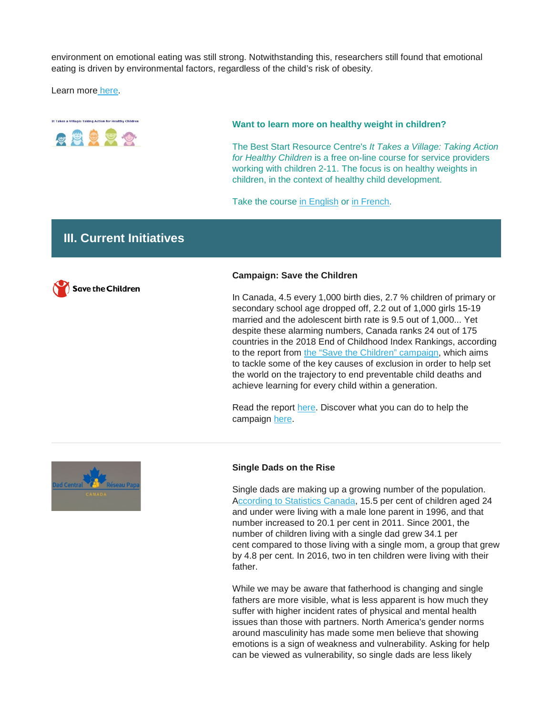environment on emotional eating was still strong. Notwithstanding this, researchers still found that emotional eating is driven by environmental factors, regardless of the child's risk of obesity.

Learn more [here.](https://onlinelibrary.wiley.com/doi/full/10.1111/ijpo.12428)



#### **Want to learn more on healthy weight in children?**

The Best Start Resource Centre's *It Takes a Village: Taking Action for Healthy Children* is a free on-line course for service providers working with children 2-11. The focus is on healthy weights in children, in the context of healthy child development.

Take the course [in English](http://www.beststart.org/TakingAction/) or [in French.](http://www.meilleurdepart.org/Agir/)

## **III. Current Initiatives**



#### **Campaign: Save the Children**

In Canada, 4.5 every 1,000 birth dies, 2.7 % children of primary or secondary school age dropped off, 2.2 out of 1,000 girls 15-19 married and the adolescent birth rate is 9.5 out of 1,000... Yet despite these alarming numbers, Canada ranks 24 out of 175 countries in the 2018 End of Childhood Index Rankings, according to the report from [the "Save the Children" campaign,](https://campaigns.savethechildren.net/) which aims to tackle some of the key causes of exclusion in order to help set the world on the trajectory to end preventable child deaths and achieve learning for every child within a generation.

Read the report [here.](https://campaigns.savethechildren.net/sites/campaigns.savethechildren.net/files/report/EndofChildhood_Report_2018_ENGLISH.pdf) Discover what you can do to help the campaign [here.](https://campaigns.savethechildren.net/)



#### **Single Dads on the Rise**

Single dads are making up a growing number of the population. [According to Statistics Canada,](https://www.statcan.gc.ca/eng/dai/smr08/2017/smr08_218_2017) 15.5 per cent of children aged 24 and under were living with a male lone parent in 1996, and that number increased to 20.1 per cent in 2011. Since 2001, the number of children living with a single dad grew 34.1 per cent compared to those living with a single mom, a group that grew by 4.8 per cent. In 2016, two in ten children were living with their father.

While we may be aware that fatherhood is changing and single fathers are more visible, what is less apparent is how much they suffer with higher incident rates of physical and mental health issues than those with partners. North America's gender norms around masculinity has made some men believe that showing emotions is a sign of weakness and vulnerability. Asking for help can be viewed as vulnerability, so single dads are less likely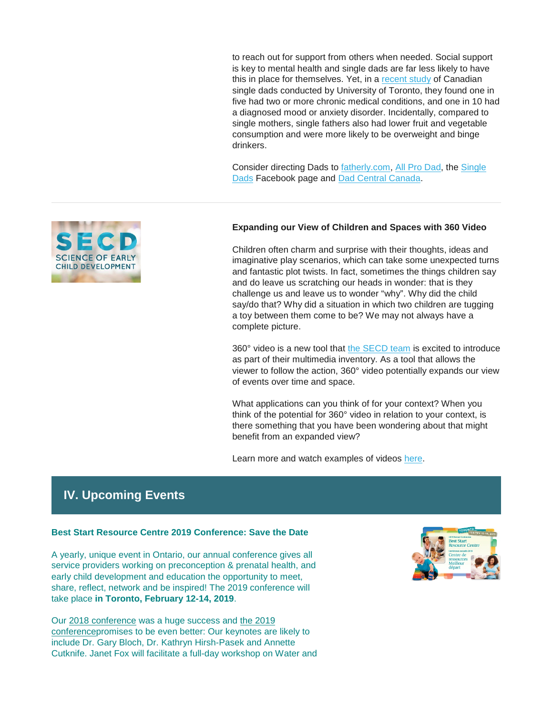to reach out for support from others when needed. Social support is key to mental health and single dads are far less likely to have this in place for themselves. Yet, in a [recent study](https://www.reuters.com/article/us-health-fathers-wellbeing/single-fathers-rate-physical-and-mental-health-low-idUSKBN14F108) of Canadian single dads conducted by University of Toronto, they found one in five had two or more chronic medical conditions, and one in 10 had a diagnosed mood or anxiety disorder. Incidentally, compared to single mothers, single fathers also had lower fruit and vegetable consumption and were more likely to be overweight and binge drinkers.

Consider directing Dads to [fatherly.com,](https://www.fatherly.com/) [All Pro Dad,](https://www.allprodad.com/) the [Single](https://www.facebook.com/groups/478055162214264/)  [Dads](https://www.facebook.com/groups/478055162214264/) Facebook page and [Dad Central Canada.](http://www.dadcentral.ca/)



Children often charm and surprise with their thoughts, ideas and imaginative play scenarios, which can take some unexpected turns and fantastic plot twists. In fact, sometimes the things children say and do leave us scratching our heads in wonder: that is they challenge us and leave us to wonder "why". Why did the child say/do that? Why did a situation in which two children are tugging a toy between them come to be? We may not always have a complete picture.

360° video is a new tool that the [SECD team](https://rrc.us3.list-manage.com/track/click?u=4dda9bcd1d0bf47f7e75238c1&id=8030b77783&e=cf31a8d65f) is excited to introduce as part of their multimedia inventory. As a tool that allows the viewer to follow the action, 360° video potentially expands our view of events over time and space.

What applications can you think of for your context? When you think of the potential for 360° video in relation to your context, is there something that you have been wondering about that might benefit from an expanded view?

Learn more and watch examples of videos [here.](https://www.scienceofecd.com/pages/secd-emessage)

# **IV. Upcoming Events**

#### **Best Start Resource Centre 2019 Conference: Save the Date**

A yearly, unique event in Ontario, our annual conference gives all service providers working on preconception & prenatal health, and early child development and education the opportunity to meet, share, reflect, network and be inspired! The 2019 conference will take place **in Toronto, February 12-14, 2019**.

Our [2018 conference](http://en.beststart.org/2018-BSRC-conference-web-coverage) was a huge success and [the 2019](http://en.beststart.org/2019-Conference)  [conferencep](http://en.beststart.org/2019-Conference)romises to be even better: Our keynotes are likely to include Dr. Gary Bloch, Dr. Kathryn Hirsh-Pasek and Annette Cutknife. Janet Fox will facilitate a full-day workshop on Water and



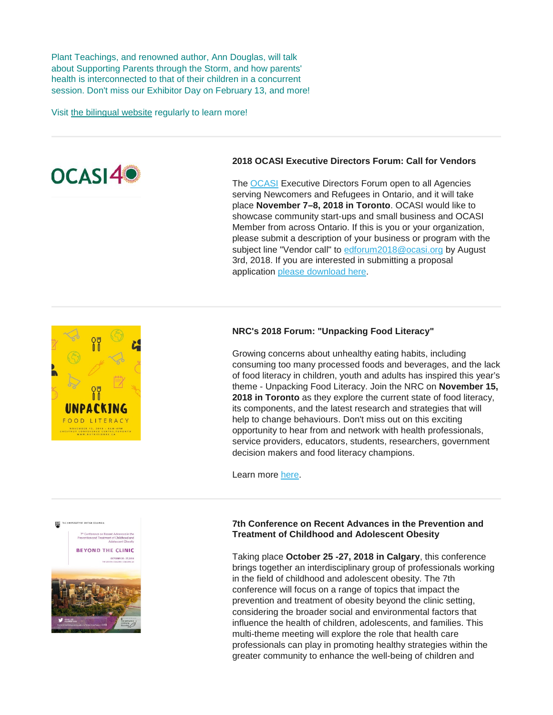Plant Teachings, and renowned author, Ann Douglas, will talk about Supporting Parents through the Storm, and how parents' health is interconnected to that of their children in a concurrent session. Don't miss our Exhibitor Day on February 13, and more!

Visit [the bilingual website](http://en.beststart.org/2019-Conference) regularly to learn more!



### **2018 OCASI Executive Directors Forum: Call for Vendors**

The [OCASI](http://edforum.ocasi.org/index.html) Executive Directors Forum open to all Agencies serving Newcomers and Refugees in Ontario, and it will take place **November 7–8, 2018 in Toronto**. OCASI would like to showcase community start-ups and small business and OCASI Member from across Ontario. If this is you or your organization, please submit a description of your business or program with the subject line "Vendor call" to [edforum2018@ocasi.org](mailto:edforum2018@ocasi.org) by August 3rd, 2018. If you are interested in submitting a proposal application [please download here.](http://edforum.ocasi.org/vendors-submission-form-en.pdf)



# **NRC's 2018 Forum: "Unpacking Food Literacy"**

Growing concerns about unhealthy eating habits, including consuming too many processed foods and beverages, and the lack of food literacy in children, youth and adults has inspired this year's theme - Unpacking Food Literacy. Join the NRC on **November 15, 2018 in Toronto** as they explore the current state of food literacy, its components, and the latest research and strategies that will help to change behaviours. Don't miss out on this exciting opportunity to hear from and network with health professionals, service providers, educators, students, researchers, government decision makers and food literacy champions.

Learn more [here.](https://opha.us3.list-manage.com/track/click?u=523bec72fbd3002744594cd6a&id=7baaa320f6&e=784d9e4e9f)

#### **7th Conference on Recent Advances in the Prevention and Treatment of Childhood and Adolescent Obesity**

Taking place **October 25 -27, 2018 in Calgary**, this conference brings together an interdisciplinary group of professionals working in the field of childhood and adolescent obesity. The 7th conference will focus on a range of topics that impact the prevention and treatment of obesity beyond the clinic setting, considering the broader social and environmental factors that influence the health of children, adolescents, and families. This multi-theme meeting will explore the role that health care professionals can play in promoting healthy strategies within the greater community to enhance the well-being of children and

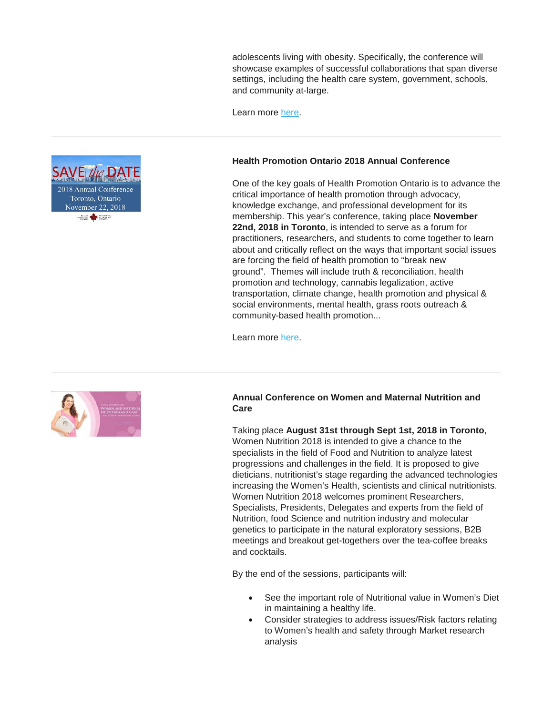adolescents living with obesity. Specifically, the conference will showcase examples of successful collaborations that span diverse settings, including the health care system, government, schools, and community at-large.

Learn more [here.](http://interprofessional.ubc.ca/initiatives/obesity2018/)

#### **Health Promotion Ontario 2018 Annual Conference**

One of the key goals of Health Promotion Ontario is to advance the critical importance of health promotion through advocacy, knowledge exchange, and professional development for its membership. This year's conference, taking place **November 22nd, 2018 in Toronto**, is intended to serve as a forum for practitioners, researchers, and students to come together to learn about and critically reflect on the ways that important social issues are forcing the field of health promotion to "break new ground". Themes will include truth & reconciliation, health promotion and technology, cannabis legalization, active transportation, climate change, health promotion and physical & social environments, mental health, grass roots outreach & community-based health promotion...

Learn more [here.](https://www.healthpromotioncanada.ca/hpo-anuual-conference-201-call-for-abstracts/)



#### **Annual Conference on Women and Maternal Nutrition and Care**

Taking place **August 31st through Sept 1st, 2018 in Toronto**, Women Nutrition 2018 is intended to give a chance to the specialists in the field of Food and Nutrition to analyze latest progressions and challenges in the field. It is proposed to give dieticians, nutritionist's stage regarding the advanced technologies increasing the Women's Health, scientists and clinical nutritionists. Women Nutrition 2018 welcomes prominent Researchers, Specialists, Presidents, Delegates and experts from the field of Nutrition, food Science and nutrition industry and molecular genetics to participate in the natural exploratory sessions, B2B meetings and breakout get-togethers over the tea-coffee breaks and cocktails.

By the end of the sessions, participants will:

- See the important role of Nutritional value in Women's Diet in maintaining a healthy life.
- Consider strategies to address issues/Risk factors relating to Women's health and safety through Market research analysis

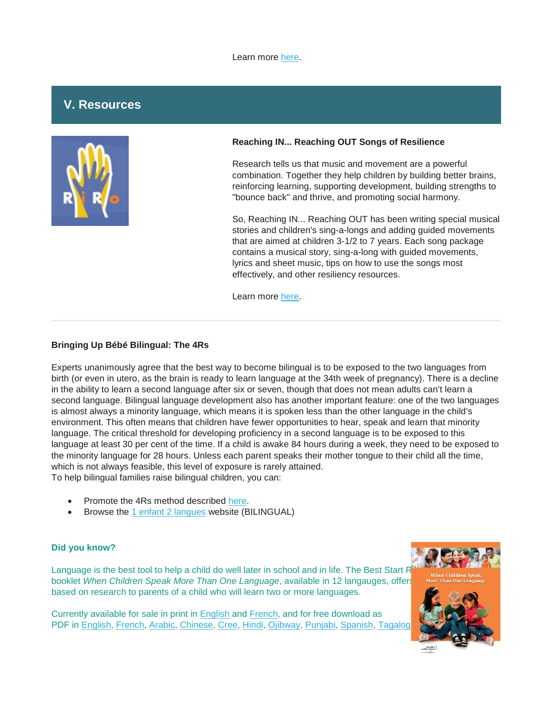#### Learn more [here.](https://www.eventbrite.com/e/annual-conference-on-women-and-maternal-nutrition-and-care-cse-tickets-45940447114)

## **V. Resources**



#### **Reaching IN... Reaching OUT Songs of Resilience**

Research tells us that music and movement are a powerful combination. Together they help children by building better brains, reinforcing learning, supporting development, building strengths to "bounce back" and thrive, and promoting social harmony.

So, Reaching IN... Reaching OUT has been writing special musical stories and children's sing-a-longs and adding guided movements that are aimed at children 3-1/2 to 7 years. Each song package contains a musical story, sing-a-long with guided movements, lyrics and sheet music, tips on how to use the songs most effectively, and other resiliency resources.

Learn more [here.](http://reachinginreachingout.com/songsofresilience.htm)

#### **Bringing Up Bébé Bilingual: The 4Rs**

Experts unanimously agree that the best way to become bilingual is to be exposed to the two languages from birth (or even in utero, as the brain is ready to learn language at the 34th week of pregnancy). There is a decline in the ability to learn a second language after six or seven, though that does not mean adults can't learn a second language. Bilingual language development also has another important feature: one of the two languages is almost always a minority language, which means it is spoken less than the other language in the child's environment. This often means that children have fewer opportunities to hear, speak and learn that minority language. The critical threshold for developing proficiency in a second language is to be exposed to this language at least 30 per cent of the time. If a child is awake 84 hours during a week, they need to be exposed to the minority language for 28 hours. Unless each parent speaks their mother tongue to their child all the time, which is not always feasible, this level of exposure is rarely attained. To help bilingual families raise bilingual children, you can:

- Promote the 4Rs method described [here.](https://www.bccf.ca/bccf/blog/bringing-up-b%C3%A9b%C3%A9-bilingual/)
- Browse the [1 enfant 2 langues](http://developpement-langagier.fpfcb.bc.ca/en) website (BILINGUAL)

#### **Did you know?**

Language is the best tool to help a child do well later in school and in life. The Best Start F booklet When Children Speak More Than One Language, available in 12 langauges, offers based on research to parents of a child who will learn two or more languages.

Currently available for sale in print in [English](https://www.beststart.org/cgi-bin/commerce.cgi?preadd=action&key=K51-E) and [French,](https://www.beststart.org/cgi-bin/commerce.cgi?preadd=action&key=K51-F) and for free download as PDF in [English,](http://www.beststart.org/resources/hlthy_chld_dev/BSRC_When_Families_Speak_fnl.pdf) [French,](http://www.meilleurdepart.org/resources/develop_enfants/pdf/BSRC_When_Families_Speak_FR_fnl.pdf) [Arabic,](http://www.beststart.org/resources/hlthy_chld_dev/families_speak/BSRC_When_Families_Speak_AR.pdf) [Chinese,](http://www.beststart.org/resources/hlthy_chld_dev/families_speak/BSRC_When_Families_Speak_ZH.pdf) [Cree,](http://www.beststart.org/resources/hlthy_chld_dev/families_speak/BSRC_When_Families_Speak_CREE_final.pdf) [Hindi,](http://www.beststart.org/resources/hlthy_chld_dev/families_speak/BSRC_When_Families_Speak_HI.pdf) [Ojibway,](http://www.beststart.org/resources/hlthy_chld_dev/families_speak/BSRC_When_Families_Speak_OJIB_final.pdf) [Punjabi,](http://www.beststart.org/resources/hlthy_chld_dev/families_speak/BSRC_When_Families_Speak_PU.pdf) [Spanish,](http://www.beststart.org/resources/hlthy_chld_dev/families_speak/BSRC_When_Families_Speak_SP.PDF) Tagalog

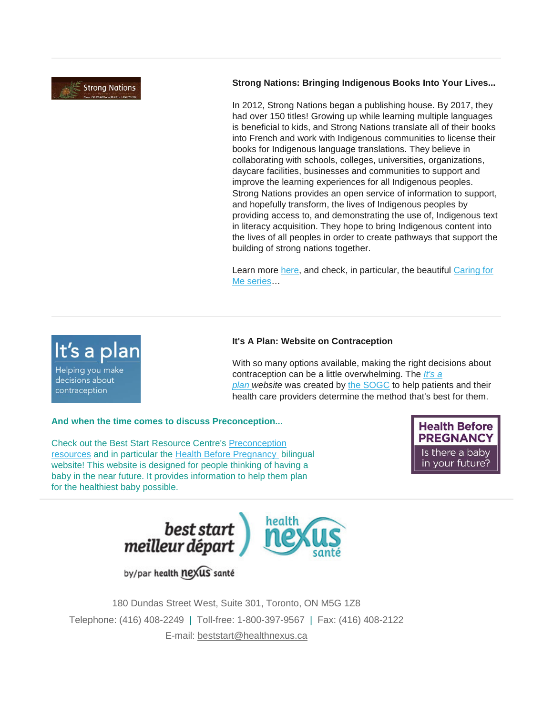**Strong Nations** 

It's a plan

Helping you make decisions about contraception

## **Strong Nations: Bringing Indigenous Books Into Your Lives...**

In 2012, Strong Nations began a publishing house. By 2017, they had over 150 titles! Growing up while learning multiple languages is beneficial to kids, and Strong Nations translate all of their books into French and work with Indigenous communities to license their books for Indigenous language translations. They believe in collaborating with schools, colleges, universities, organizations, daycare facilities, businesses and communities to support and improve the learning experiences for all Indigenous peoples. Strong Nations provides an open service of information to support, and hopefully transform, the lives of Indigenous peoples by providing access to, and demonstrating the use of, Indigenous text in literacy acquisition. They hope to bring Indigenous content into the lives of all peoples in order to create pathways that support the building of strong nations together.

Learn more [here,](https://www.strongnations.com/) and check, in particular, the beautiful [Caring for](https://www.strongnations.com/store/item_list.php?it=3&p1=2&cat=2940)  [Me series…](https://www.strongnations.com/store/item_list.php?it=3&p1=2&cat=2940)

## **It's A Plan: Website on Contraception**

With so many options available, making the right decisions about contraception can be a little overwhelming. The *[It's a](https://www.itsaplan.ca/)  [plan](https://www.itsaplan.ca/) website* was created by [the SOGC](https://sogc.org/) to help patients and their health care providers determine the method that's best for them.

#### **And when the time comes to discuss Preconception...**

Check out the Best Start Resource Centre's [Preconception](https://www.beststart.org/cgi-bin/commerce.cgi?search=action&category=F00E&advanced=yes&sortkey=sku&sortorder=descending)  [resources](https://www.beststart.org/cgi-bin/commerce.cgi?search=action&category=F00E&advanced=yes&sortkey=sku&sortorder=descending) and in particular the [Health Before Pregnancy](http://www.healthbeforepregnancy.ca/) bilingual website! This website is designed for people thinking of having a baby in the near future. It provides information to help them plan for the healthiest baby possible.

**Health Before PREGNANCY** Is there a baby in your future?



by/par health nexus santé



180 Dundas Street West, Suite 301, Toronto, ON M5G 1Z8 Telephone: (416) 408-2249 | Toll-free: 1-800-397-9567 | Fax: (416) 408-2122 E-mail: [beststart@healthnexus.ca](mailto:beststart@healthnexus.ca?subject=Contact%20Us)